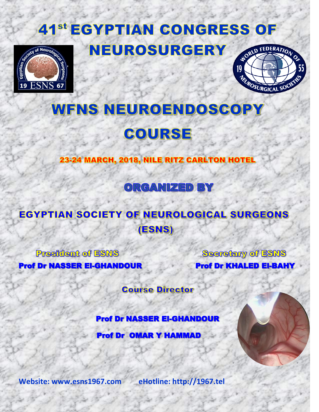# **41<sup>st</sup> EGYPTIAN CONGRESS OF** NEUROSURGERY





# **WFNS NEUROENDOSCOPY**

## COURSE

23-24 MARCH, 2018, NILE RITZ CARLTON HOTEL

### ORGANIZED BY

### **EGYPTIAN SOCIETY OF NEUROLOGICAL SURGEONS** (ESNS)

**President of ESNS** 

١

١

Secretary of ESNS Prof Dr NASSER El-GHANDOUR Prof Dr KHALED El-BAHY

**Course Director** 

Prof Dr NASSER El-GHANDOUR

Prof Dr OMAR Y HAMMAD

**Website: www.esns1967.com eHotline: http://1967.tel**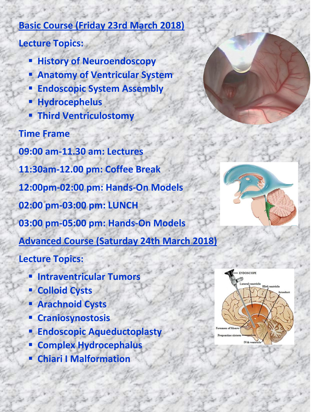#### **Basic Course (Friday 23rd March 2018)**

#### **Lecture Topics:**

- **History of Neuroendoscopy**
- **Anatomy of Ventricular System**
- **Endoscopic System Assembly**
- **Hydrocephelus**
- **Third Ventriculostomy**

### **Time Frame**

**09:00 am-11.30 am: Lectures 11:30am-12.00 pm: Coffee Break 12:00pm-02:00 pm: Hands-On Models 02:00 pm-03:00 pm: LUNCH 03:00 pm-05:00 pm: Hands-On Models Advanced Course (Saturday 24th March 2018)**

#### **Lecture Topics:**

- **Intraventricular Tumors**
- **E** Colloid Cysts
- **Arachnoid Cysts**
- **Craniosynostosis**
- **Endoscopic Aqueductoplasty**
- **E** Complex Hydrocephalus
- **Chiari I Malformation**



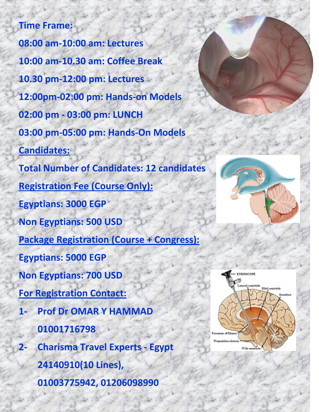**Time Frame: 08:00 am-10:00 am: Lectures 10:00 am-10.30 am: Coffee Break 10.30 pm-12:00 pm: Lectures 12:00pm-02:00 pm: Hands-on Models 02:00 pm - 03:00 pm: LUNCH 03:00 pm-05:00 pm: Hands-On Models Candidates: Total Number of Candidates: 12 candidates Registration Fee (Course Only): Egyptians: 3000 EGP Non Egyptians: 500 USD Package Registration (Course + Congress): Egyptians: 5000 EGP Non Egyptians: 700 USD For Registration Contact: 1- Prof Dr OMAR Y HAMMAD 01001716798 2- Charisma Travel Experts - Egypt 24140910(10 Lines), 01003775942, 01206098990**